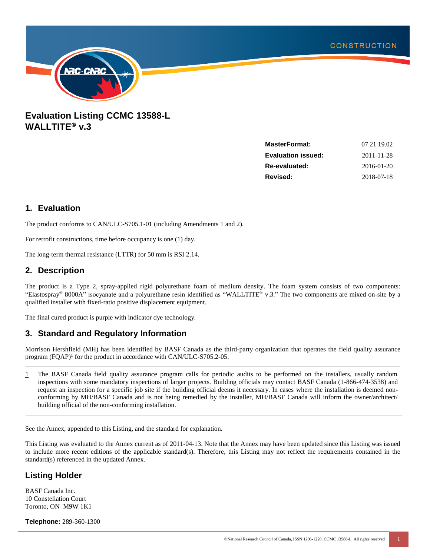

## **Evaluation Listing CCMC 13588-L WALLTITE® v.3**

| <b>MasterFormat:</b>      | 07 21 19:02 |
|---------------------------|-------------|
| <b>Evaluation issued:</b> | 2011-11-28  |
| Re-evaluated:             | 2016-01-20  |
| Revised:                  | 2018-07-18  |
|                           |             |

### **1. Evaluation**

The product conforms to CAN/ULC-S705.1-01 (including Amendments 1 and 2).

For retrofit constructions, time before occupancy is one (1) day.

The long-term thermal resistance (LTTR) for 50 mm is RSI 2.14.

#### **2. Description**

The product is a Type 2, spray-applied rigid polyurethane foam of medium density. The foam system consists of two components: "Elastospray<sup>®</sup> 8000A" isocyanate and a polyurethane resin identified as "WALLTITE<sup>®</sup> v.3." The two components are mixed on-site by a qualified installer with fixed-ratio positive displacement equipment.

The final cured product is purple with indicator dye technology.

### **3. Standard and Regulatory Information**

Morrison Hershfield (MH) has been identified by BASF Canada as the third-party organization that operates the field quality assurance program (FQAP)<sup>1</sup> for the product in accordance with CAN/ULC-S705.2-05.

1 The BASF Canada field quality assurance program calls for periodic audits to be performed on the installers, usually random inspections with some mandatory inspections of larger projects. Building officials may contact BASF Canada (1-866-474-3538) and request an inspection for a specific job site if the building official deems it necessary. In cases where the installation is deemed nonconforming by MH/BASF Canada and is not being remedied by the installer, MH/BASF Canada will inform the owner/architect/ building official of the non-conforming installation.

See the Annex, appended to this Listing, and the standard for explanation.

This Listing was evaluated to the Annex current as of 2011-04-13. Note that the Annex may have been updated since this Listing was issued to include more recent editions of the applicable standard(s). Therefore, this Listing may not reflect the requirements contained in the standard(s) referenced in the updated Annex.

### **Listing Holder**

BASF Canada Inc. 10 Constellation Court Toronto, ON M9W 1K1

**Telephone:** 289-360-1300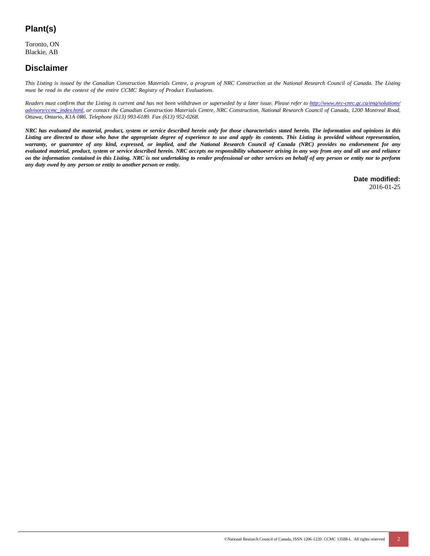## **Plant(s)**

Toronto, ON Blackie, AB

#### **Disclaimer**

This Listing is issued by the Canadian Construction Materials Centre, a program of NRC Construction at the National Research Council of Canada. The Listing *must be read in the context of the entire CCMC Registry of Product Evaluations.*

Readers must confirm that the Listing is current and has not been withdrawn or superseded by a later issue. Please refer to http://www.nrc-cnrc.gc.ca/eng/solutions/ [advisory/ccmc\\_index.html,](http://www.nrc-cnrc.gc.ca/eng/solutions/advisory/ccmc_index.html) or contact the Canadian Construction Materials Centre, NRC Construction, National Research Council of Canada, 1200 Montreal Road, *Ottawa, Ontario, K1A 0R6. Telephone (613) 993-6189. Fax (613) 952-0268.*

NRC has evaluated the material, product, system or service described herein only for those characteristics stated herein. The information and opinions in this Listing are directed to those who have the appropriate degree of experience to use and apply its contents. This Listing is provided without representation, warranty, or guarantee of any kind, expressed, or implied, and the National Research Council of Canada (NRC) provides no endorsement for any evaluated material, product, system or service described herein. NRC accepts no responsibility whatsoever arising in any way from any and all use and reliance on the information contained in this Listing. NRC is not undertaking to render professional or other services on behalf of any person or entity nor to perform *any duty owed by any person or entity to another person or entity.*

> **Date modified:** 2016-01-25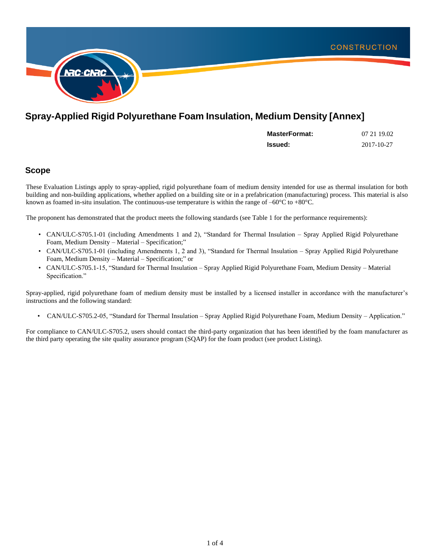

# **Spray-Applied Rigid Polyurethane Foam Insulation, Medium Density [Annex]**

| <b>MasterFormat:</b> | 07 21 19:02 |
|----------------------|-------------|
| <b>Issued:</b>       | 2017-10-27  |

#### **Scope**

These Evaluation Listings apply to spray-applied, rigid polyurethane foam of medium density intended for use as thermal insulation for both building and non-building applications, whether applied on a building site or in a prefabrication (manufacturing) process. This material is also known as foamed in-situ insulation. The continuous-use temperature is within the range of  $-60^{\circ}\text{C}$  to  $+80^{\circ}\text{C}$ .

The proponent has demonstrated that the product meets the following standards (see Table 1 for the performance requirements):

- CAN/ULC-S705.1-01 (including Amendments 1 and 2), "Standard for Thermal Insulation Spray Applied Rigid Polyurethane Foam, Medium Density – Material – Specification;"
- CAN/ULC-S705.1-01 (including Amendments 1, 2 and 3), "Standard for Thermal Insulation Spray Applied Rigid Polyurethane Foam, Medium Density – Material – Specification;" or
- CAN/ULC-S705.1-15, "Standard for Thermal Insulation Spray Applied Rigid Polyurethane Foam, Medium Density Material Specification."

Spray-applied, rigid polyurethane foam of medium density must be installed by a licensed installer in accordance with the manufacturer's instructions and the following standard:

• CAN/ULC-S705.2-05, "Standard for Thermal Insulation – Spray Applied Rigid Polyurethane Foam, Medium Density – Application."

For compliance to CAN/ULC-S705.2, users should contact the third-party organization that has been identified by the foam manufacturer as the third party operating the site quality assurance program (SQAP) for the foam product (see product Listing).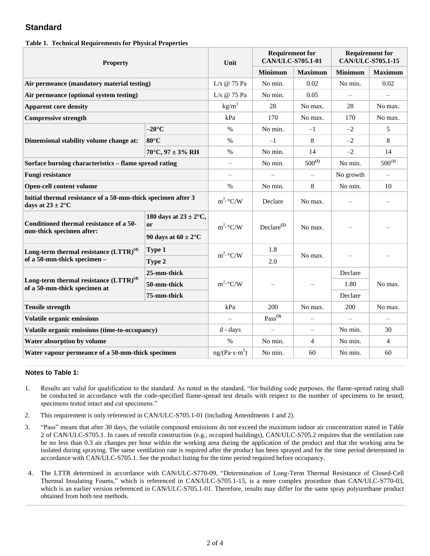### **Standard**

#### **Table 1. Technical Requirements for Physical Properties**

| <b>Property</b>                                                                              |                                         | Unit                      | <b>Requirement for</b><br><b>CAN/ULC-S705.1-01</b> |                          | <b>Requirement for</b><br><b>CAN/ULC-S705.1-15</b> |                          |
|----------------------------------------------------------------------------------------------|-----------------------------------------|---------------------------|----------------------------------------------------|--------------------------|----------------------------------------------------|--------------------------|
|                                                                                              |                                         |                           | <b>Minimum</b>                                     | <b>Maximum</b>           | <b>Minimum</b>                                     | <b>Maximum</b>           |
| Air permeance (mandatory material testing)                                                   |                                         | L/s @ $75$ Pa             | No min.                                            | 0.02                     | No min.                                            | 0.02                     |
| Air permeance (optional system testing)                                                      |                                         | L/s $@75$ Pa              | No min.                                            | 0.05                     |                                                    |                          |
| <b>Apparent core density</b>                                                                 |                                         | kg/m <sup>3</sup>         | 28                                                 | No max.                  | 28                                                 | No max.                  |
| <b>Compressive strength</b>                                                                  |                                         | kPa                       | 170                                                | No max.                  | 170                                                | No max.                  |
| Dimensional stability volume change at:                                                      | $-20^{\circ}$ C                         | $\%$                      | No min.                                            | $-1$                     | $-2$                                               | 5                        |
|                                                                                              | $80^{\circ}$ C                          | $\%$                      | $-1$                                               | 8                        | $-2$                                               | 8                        |
|                                                                                              | $70^{\circ}$ C, 97 ± 3% RH              | $\%$                      | No min.                                            | 14                       | $-2$                                               | 14                       |
| Surface burning characteristics - flame spread rating                                        |                                         | $\overline{\phantom{0}}$  | No min.                                            | $500^{(1)}$              | No min.                                            | $500^{(1)}$              |
| <b>Fungi resistance</b>                                                                      |                                         | $\overline{\phantom{0}}$  | $\overline{\phantom{0}}$                           |                          | No growth                                          | $\overline{\phantom{0}}$ |
| <b>Open-cell content volume</b>                                                              |                                         | $\%$                      | No min.                                            | 8                        | No min.                                            | 10                       |
| Initial thermal resistance of a 50-mm-thick specimen after 3<br>days at $23 \pm 2^{\circ}$ C |                                         | $m^2$ °C/W                | Declare                                            | No max.                  |                                                    |                          |
| Conditioned thermal resistance of a 50-<br>mm-thick specimen after:                          | 180 days at $23 \pm 2^{\circ}$ C,<br>or | $m^2$ <sup>o</sup> C/W    | Declaré <sup>(2)</sup>                             | No max.                  |                                                    |                          |
|                                                                                              | 90 days at $60 \pm 2^{\circ}$ C         |                           |                                                    |                          |                                                    |                          |
| Long-term thermal resistance (LTTR) <sup>(4)</sup><br>of a 50-mm-thick specimen -            | Type 1                                  | $m^2$ <sup>o</sup> C/W    | 1.8                                                | No max.                  |                                                    |                          |
|                                                                                              | Type 2                                  |                           | 2.0                                                |                          |                                                    |                          |
| Long-term thermal resistance $(LTTR)^{(4)}$<br>of a 50-mm-thick specimen at                  | 25-mm-thick                             | $m^2$ <sup>o</sup> C/W    |                                                    |                          | Declare                                            | No max.                  |
|                                                                                              | 50-mm-thick                             |                           |                                                    |                          | 1.80                                               |                          |
|                                                                                              | 75-mm-thick                             |                           |                                                    |                          | Declare                                            |                          |
| <b>Tensile</b> strength                                                                      |                                         | kPa                       | 200                                                | No max.                  | 200                                                | No max.                  |
| <b>Volatile organic emissions</b>                                                            |                                         | $\overline{\phantom{0}}$  | $Pass^{(3)}$                                       | $\overline{\phantom{0}}$ |                                                    |                          |
| Volatile organic emissions (time-to-occupancy)                                               |                                         | d - days                  | $\equiv$                                           | $\overline{\phantom{0}}$ | No min.                                            | 30                       |
| Water absorption by volume                                                                   |                                         | $\%$                      | No min.                                            | $\overline{4}$           | No min.                                            | $\overline{4}$           |
| Water vapour permeance of a 50-mm-thick specimen                                             |                                         | ng/(Pa·s·m <sup>2</sup> ) | No min.                                            | 60                       | No min.                                            | 60                       |

#### **Notes to Table 1:**

- 1. Results are valid for qualification to the standard. As noted in the standard, "for building code purposes, the flame-spread rating shall be conducted in accordance with the code-specified flame-spread test details with respect to the number of specimens to be tested, specimens tested intact and cut specimens."
- 2. This requirement is only referenced in CAN/ULC-S705.1-01 (including Amendments 1 and 2).
- 3. "Pass" means that after 30 days, the volatile compound emissions do not exceed the maximum indoor air concentration stated in Table 2 of CAN/ULC-S705.1. In cases of retrofit construction (e.g., occupied buildings), CAN/ULC-S705.2 requires that the ventilation rate be no less than 0.3 air changes per hour within the working area during the application of the product and that the working area be isolated during spraying. The same ventilation rate is required after the product has been sprayed and for the time period determined in accordance with CAN/ULC-S705.1. See the product listing for the time period required before occupancy.
- 4. The LTTR determined in accordance with CAN/ULC-S770-09, "Determination of Long-Term Thermal Resistance of Closed-Cell Thermal Insulating Foams," which is referenced in CAN/ULC-S705.1-15, is a more complex procedure than CAN/ULC-S770-03, which is an earlier version referenced in CAN/ULC-S705.1-01. Therefore, results may differ for the same spray polyurethane product obtained from both test methods.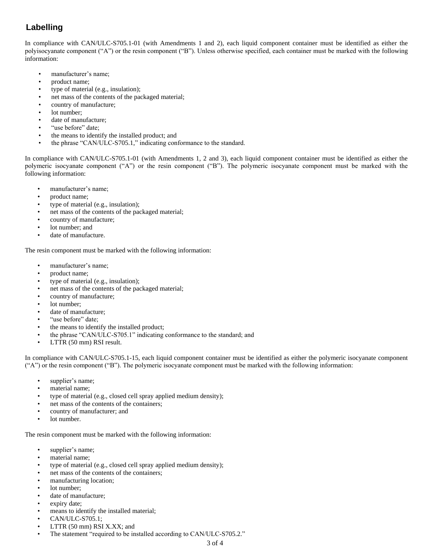## **Labelling**

In compliance with CAN/ULC-S705.1-01 (with Amendments 1 and 2), each liquid component container must be identified as either the polyisocyanate component ("A") or the resin component ("B"). Unless otherwise specified, each container must be marked with the following information:

- manufacturer's name;
- product name;
- type of material (e.g., insulation);
- net mass of the contents of the packaged material;
- country of manufacture;
- lot number;
- date of manufacture;
- "use before" date;
- the means to identify the installed product; and
- the phrase "CAN/ULC-S705.1," indicating conformance to the standard.

In compliance with CAN/ULC-S705.1-01 (with Amendments 1, 2 and 3), each liquid component container must be identified as either the polymeric isocyanate component ("A") or the resin component ("B"). The polymeric isocyanate component must be marked with the following information:

- manufacturer's name;
- product name;
- type of material (e.g., insulation);
- net mass of the contents of the packaged material;
- country of manufacture;
- lot number; and
- date of manufacture.

The resin component must be marked with the following information:

- manufacturer's name;
- product name;
- type of material (e.g., insulation);
- net mass of the contents of the packaged material;
- country of manufacture;
- lot number;
- date of manufacture:
- "use before" date;
- the means to identify the installed product;
- the phrase "CAN/ULC-S705.1" indicating conformance to the standard; and
- LTTR (50 mm) RSI result.

In compliance with CAN/ULC-S705.1-15, each liquid component container must be identified as either the polymeric isocyanate component ("A") or the resin component ("B"). The polymeric isocyanate component must be marked with the following information:

- supplier's name;
- material name;
- type of material (e.g., closed cell spray applied medium density);
- net mass of the contents of the containers;
- country of manufacturer; and
- lot number.

The resin component must be marked with the following information:

- supplier's name;
- material name:
- type of material (e.g., closed cell spray applied medium density);
- net mass of the contents of the containers;
- manufacturing location;
- lot number:
- date of manufacture;
- expiry date;
- means to identify the installed material;
- CAN/ULC-S705.1;
- LTTR (50 mm) RSI X.XX; and
- The statement "required to be installed according to CAN/ULC-S705.2."